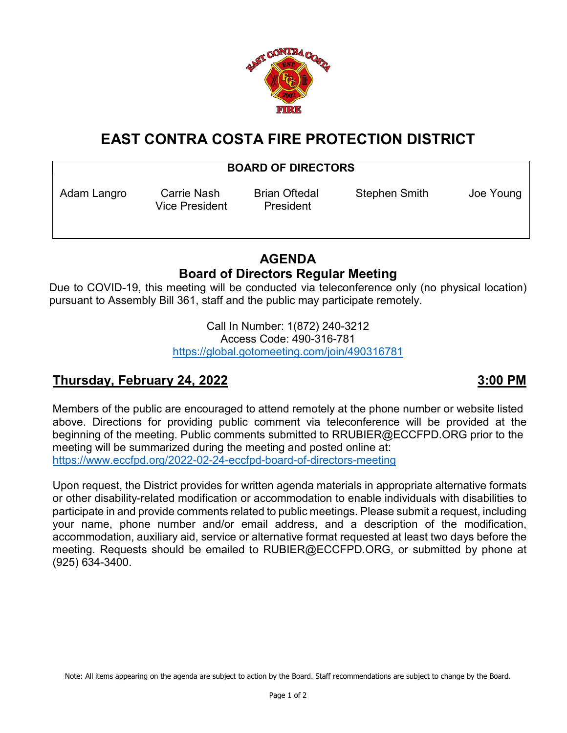

# **EAST CONTRA COSTA FIRE PROTECTION DISTRICT**

### **BOARD OF DIRECTORS**

Vice President President

Adam Langro Carrie Nash Brian Oftedal Stephen Smith Joe Young

## **AGENDA Board of Directors Regular Meeting**

Due to COVID-19, this meeting will be conducted via teleconference only (no physical location) pursuant to Assembly Bill 361, staff and the public may participate remotely.

> Call In Number: 1(872) 240-3212 Access Code: 490-316-781 <https://global.gotomeeting.com/join/490316781>

## **Thursday, February 24, 2022 3:00 PM**

Members of the public are encouraged to attend remotely at the phone number or website listed above. Directions for providing public comment via teleconference will be provided at the beginning of the meeting. Public comments submitted to RRUBIER@ECCFPD.ORG prior to the meeting will be summarized during the meeting and posted online at: <https://www.eccfpd.org/2022-02-24-eccfpd-board-of-directors-meeting>

Upon request, the District provides for written agenda materials in appropriate alternative formats or other disability-related modification or accommodation to enable individuals with disabilities to participate in and provide comments related to public meetings. Please submit a request, including your name, phone number and/or email address, and a description of the modification, accommodation, auxiliary aid, service or alternative format requested at least two days before the meeting. Requests should be emailed to RUBIER@ECCFPD.ORG, or submitted by phone at (925) 634-3400.